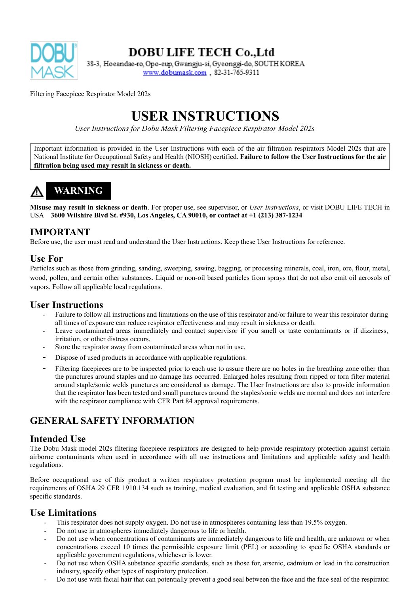

## **DOBU LIFE TECH Co., Ltd**

38-3, Hoeandae-ro, Opo-eup, Gwangju-si, Gyeonggi-do, SOUTH KOREA www.dobumask.com, 82-31-765-9311

Filtering Facepiece Respirator Model 202s

# **USER INSTRUCTIONS**

*User Instructions for Dobu Mask Filtering Facepiece Respirator Model 202s*

Important information is provided in the User Instructions with each of the air filtration respirators Model 202s that are National Institute for Occupational Safety and Health (NIOSH) certified. **Failure to follow the User Instructions for the air filtration being used may result in sickness or death.**

# **WARNING**

**Misuse may result in sickness or death**. For proper use, see supervisor, or *User Instructions*, or visit DOBU LIFE TECH in USA **3600 Wilshire Blvd St. #930, Los Angeles, CA 90010, or contact at +1 (213) 387-1234**

### **IMPORTANT**

Before use, the user must read and understand the User Instructions. Keep these User Instructions for reference.

### **Use For**

Particles such as those from grinding, sanding, sweeping, sawing, bagging, or processing minerals, coal, iron, ore, flour, metal, wood, pollen, and certain other substances. Liquid or non-oil based particles from sprays that do not also emit oil aerosols of vapors. Follow all applicable local regulations.

#### **User Instructions**

- Failure to follow all instructions and limitations on the use of this respirator and/or failure to wear this respirator during all times of exposure can reduce respirator effectiveness and may result in sickness or death.
- Leave contaminated areas immediately and contact supervisor if you smell or taste contaminants or if dizziness, irritation, or other distress occurs.
- Store the respirator away from contaminated areas when not in use.
- Dispose of used products in accordance with applicable regulations.
- Filtering facepieces are to be inspected prior to each use to assure there are no holes in the breathing zone other than the punctures around staples and no damage has occurred. Enlarged holes resulting from ripped or torn filter material around staple/sonic welds punctures are considered as damage. The User Instructions are also to provide information that the respirator has been tested and small punctures around the staples/sonic welds are normal and does not interfere with the respirator compliance with CFR Part 84 approval requirements.

## **GENERAL SAFETY INFORMATION**

### **Intended Use**

The Dobu Mask model 202s filtering facepiece respirators are designed to help provide respiratory protection against certain airborne contaminants when used in accordance with all use instructions and limitations and applicable safety and health regulations.

Before occupational use of this product a written respiratory protection program must be implemented meeting all the requirements of OSHA 29 CFR 1910.134 such as training, medical evaluation, and fit testing and applicable OSHA substance specific standards.

### **Use Limitations**

- This respirator does not supply oxygen. Do not use in atmospheres containing less than 19.5% oxygen.
- Do not use in atmospheres immediately dangerous to life or health.
- Do not use when concentrations of contaminants are immediately dangerous to life and health, are unknown or when concentrations exceed 10 times the permissible exposure limit (PEL) or according to specific OSHA standards or applicable government regulations, whichever is lower.
- Do not use when OSHA substance specific standards, such as those for, arsenic, cadmium or lead in the construction industry, specify other types of respiratory protection.
- Do not use with facial hair that can potentially prevent a good seal between the face and the face seal of the respirator.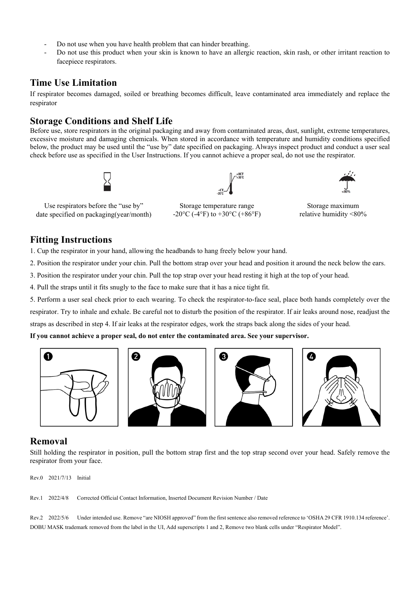- Do not use when you have health problem that can hinder breathing.
- Do not use this product when your skin is known to have an allergic reaction, skin rash, or other irritant reaction to facepiece respirators.

#### **Time Use Limitation**

If respirator becomes damaged, soiled or breathing becomes difficult, leave contaminated area immediately and replace the respirator

#### **Storage Conditions and Shelf Life**

Before use, store respirators in the original packaging and away from contaminated areas, dust, sunlight, extreme temperatures, excessive moisture and damaging chemicals. When stored in accordance with temperature and humidity conditions specified below, the product may be used until the "use by" date specified on packaging. Always inspect product and conduct a user seal check before use as specified in the User Instructions. If you cannot achieve a proper seal, do not use the respirator.





Storage temperature range  $-20\textdegree$ C ( $-4\textdegree$ F) to  $+30\textdegree$ C ( $+86\textdegree$ F)



Storage maximum relative humidity <80%

Use respirators before the "use by" date specified on packaging(year/month)

### **Fitting Instructions**

1. Cup the respirator in your hand, allowing the headbands to hang freely below your hand.

2. Position the respirator under your chin. Pull the bottom strap over your head and position it around the neck below the ears.

3. Position the respirator under your chin. Pull the top strap over your head resting it high at the top of your head.

4. Pull the straps until it fits snugly to the face to make sure that it has a nice tight fit.

5. Perform a user seal check prior to each wearing. To check the respirator-to-face seal, place both hands completely over the respirator. Try to inhale and exhale. Be careful not to disturb the position of the respirator. If air leaks around nose, readjust the straps as described in step 4. If air leaks at the respirator edges, work the straps back along the sides of your head.

**If you cannot achieve a proper seal, do not enter the contaminated area. See your supervisor.**



#### **Removal**

Still holding the respirator in position, pull the bottom strap first and the top strap second over your head. Safely remove the respirator from your face.

Rev.0 2021/7/13 Initial

Rev.1 2022/4/8 Corrected Official Contact Information, Inserted Document Revision Number / Date

Rev.2 2022/5/6 Under intended use. Remove "are NIOSH approved" from the first sentence also removed reference to 'OSHA 29 CFR 1910.134 reference'. DOBU MASK trademark removed from the label in the UI, Add superscripts 1 and 2, Remove two blank cells under "Respirator Model".